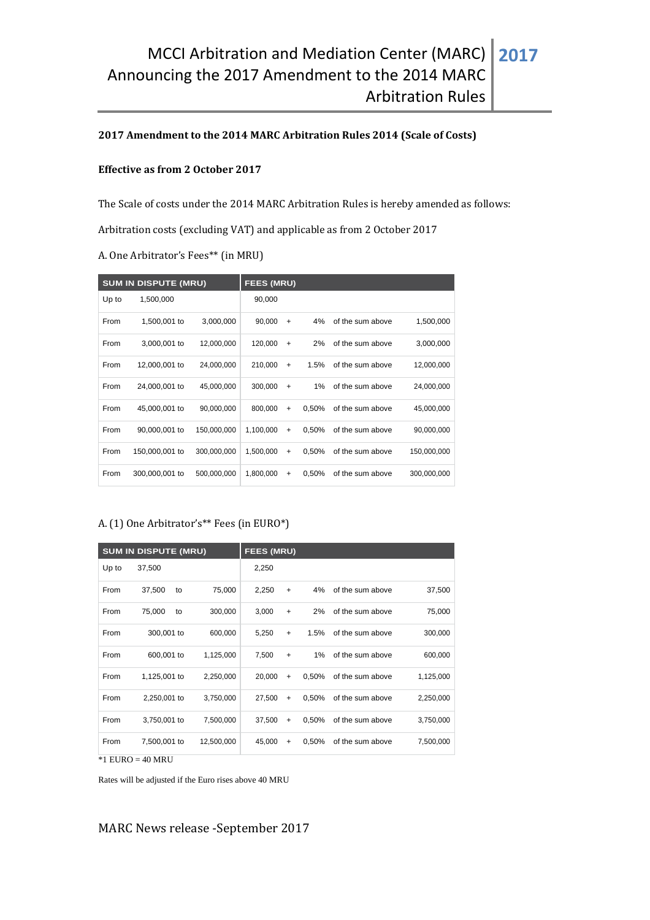### **2017 Amendment to the 2014 MARC Arbitration Rules 2014 (Scale of Costs)**

#### **Effective as from 2 October 2017**

The Scale of costs under the 2014 MARC Arbitration Rules is hereby amended as follows:

Arbitration costs (excluding VAT) and applicable as from 2 October 2017

A. One Arbitrator's Fees\*\* (in MRU)

| <b>SUM IN DISPUTE (MRU)</b> |                |             | <b>FEES (MRU)</b> |           |       |                  |             |  |  |
|-----------------------------|----------------|-------------|-------------------|-----------|-------|------------------|-------------|--|--|
| Up to                       | 1,500,000      |             | 90,000            |           |       |                  |             |  |  |
| From                        | 1,500,001 to   | 3,000,000   | 90,000            | $\ddot{}$ | 4%    | of the sum above | 1,500,000   |  |  |
| From                        | 3,000,001 to   | 12,000,000  | 120,000           | $\ddot{}$ | 2%    | of the sum above | 3,000,000   |  |  |
| From                        | 12,000,001 to  | 24,000,000  | 210,000           | $+$       | 1.5%  | of the sum above | 12,000,000  |  |  |
| From                        | 24,000,001 to  | 45,000,000  | 300,000           | $\ddot{}$ | $1\%$ | of the sum above | 24,000,000  |  |  |
| From                        | 45,000,001 to  | 90,000,000  | 800,000           | $\ddot{}$ | 0.50% | of the sum above | 45,000,000  |  |  |
| From                        | 90,000,001 to  | 150,000,000 | 1,100,000         | $\ddot{}$ | 0.50% | of the sum above | 90,000,000  |  |  |
| From                        | 150,000,001 to | 300,000,000 | 1,500,000         | $\ddot{}$ | 0.50% | of the sum above | 150,000,000 |  |  |
| From                        | 300,000,001 to | 500,000,000 | 1,800,000         | $+$       | 0,50% | of the sum above | 300,000,000 |  |  |

### A. (1) One Arbitrator's\*\* Fees (in EURO\*)

| <b>SUM IN DISPUTE (MRU)</b> |              |    |            | <b>FEES (MRU)</b> |           |       |                  |           |  |  |
|-----------------------------|--------------|----|------------|-------------------|-----------|-------|------------------|-----------|--|--|
| Up to                       | 37,500       |    |            | 2,250             |           |       |                  |           |  |  |
| From                        | 37,500       | to | 75,000     | 2,250             | $\ddot{}$ | 4%    | of the sum above | 37,500    |  |  |
| From                        | 75,000       | to | 300,000    | 3,000             | $\ddot{}$ | 2%    | of the sum above | 75,000    |  |  |
| From                        | 300,001 to   |    | 600,000    | 5,250             | $\ddot{}$ | 1.5%  | of the sum above | 300,000   |  |  |
| From                        | 600,001 to   |    | 1,125,000  | 7,500             | $\ddot{}$ | 1%    | of the sum above | 600,000   |  |  |
| From                        | 1,125,001 to |    | 2,250,000  | 20,000            | $\ddot{}$ | 0,50% | of the sum above | 1,125,000 |  |  |
| From                        | 2,250,001 to |    | 3,750,000  | 27,500            | $\ddot{}$ | 0,50% | of the sum above | 2,250,000 |  |  |
| From                        | 3,750,001 to |    | 7,500,000  | 37,500            | $\ddot{}$ | 0,50% | of the sum above | 3,750,000 |  |  |
| From                        | 7,500,001 to |    | 12,500,000 | 45,000            | $\ddot{}$ | 0,50% | of the sum above | 7,500,000 |  |  |
| $*1$ EURO = 40 MRU          |              |    |            |                   |           |       |                  |           |  |  |

Rates will be adjusted if the Euro rises above 40 MRU

MARC News release -September 2017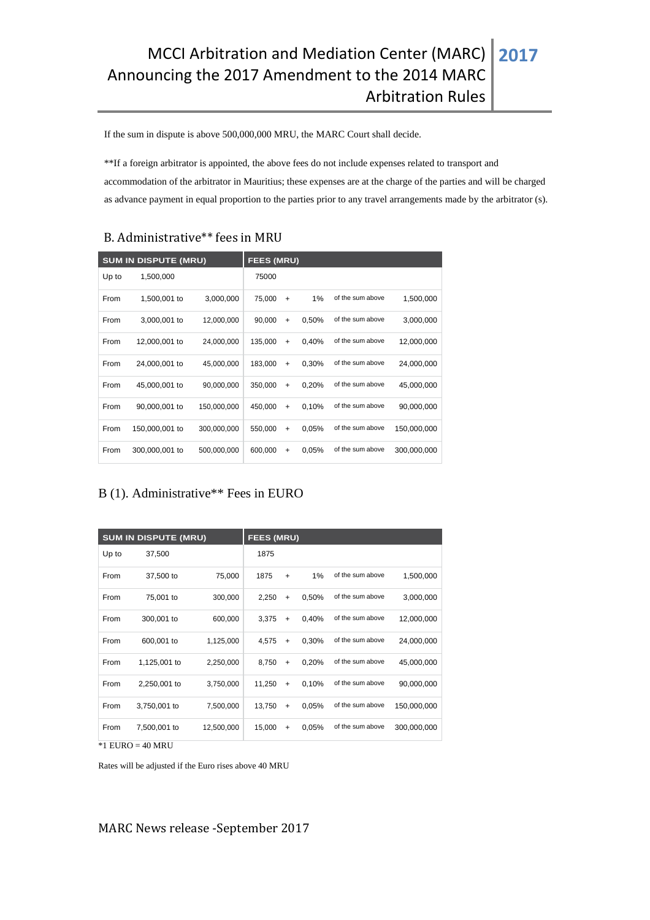If the sum in dispute is above 500,000,000 MRU, the MARC Court shall decide.

\*\*If a foreign arbitrator is appointed, the above fees do not include expenses related to transport and accommodation of the arbitrator in Mauritius; these expenses are at the charge of the parties and will be charged as advance payment in equal proportion to the parties prior to any travel arrangements made by the arbitrator (s).

# B. Administrative\*\* fees in MRU

| <b>SUM IN DISPUTE (MRU)</b> |                |             | <b>FEES (MRU)</b> |           |       |                  |             |  |  |
|-----------------------------|----------------|-------------|-------------------|-----------|-------|------------------|-------------|--|--|
| Up to                       | 1,500,000      |             | 75000             |           |       |                  |             |  |  |
| From                        | 1,500,001 to   | 3,000,000   | 75,000            | $\ddot{}$ | 1%    | of the sum above | 1,500,000   |  |  |
| From                        | 3,000,001 to   | 12,000,000  | 90,000            | $\ddot{}$ | 0,50% | of the sum above | 3,000,000   |  |  |
| From                        | 12,000,001 to  | 24,000,000  | 135,000           | $\ddot{}$ | 0,40% | of the sum above | 12,000,000  |  |  |
| From                        | 24,000,001 to  | 45,000,000  | 183,000           | $\ddot{}$ | 0,30% | of the sum above | 24,000,000  |  |  |
| From                        | 45,000,001 to  | 90,000,000  | 350,000           | $\ddot{}$ | 0,20% | of the sum above | 45,000,000  |  |  |
| From                        | 90,000,001 to  | 150,000,000 | 450,000           | $\ddot{}$ | 0,10% | of the sum above | 90,000,000  |  |  |
| From                        | 150,000,001 to | 300,000,000 | 550,000           | $\ddot{}$ | 0.05% | of the sum above | 150,000,000 |  |  |
| From                        | 300,000,001 to | 500,000,000 | 600,000           | $\ddot{}$ | 0.05% | of the sum above | 300,000,000 |  |  |

## B (1). Administrative\*\* Fees in EURO

| <b>SUM IN DISPUTE (MRU)</b> | <b>FEES (MRU)</b> |            |        |           |       |                  |             |
|-----------------------------|-------------------|------------|--------|-----------|-------|------------------|-------------|
| Up to                       | 37,500            |            | 1875   |           |       |                  |             |
| From                        | 37,500 to         | 75,000     | 1875   | $+$       | 1%    | of the sum above | 1,500,000   |
| From                        | 75,001 to         | 300,000    | 2,250  | $\ddot{}$ | 0,50% | of the sum above | 3,000,000   |
| From                        | 300,001 to        | 600,000    | 3.375  | $\ddot{}$ | 0,40% | of the sum above | 12,000,000  |
| From                        | 600,001 to        | 1,125,000  | 4,575  | $\ddot{}$ | 0,30% | of the sum above | 24,000,000  |
| From                        | 1,125,001 to      | 2,250,000  | 8,750  | $\ddot{}$ | 0,20% | of the sum above | 45,000,000  |
| From                        | 2,250,001 to      | 3,750,000  | 11,250 | $\ddot{}$ | 0,10% | of the sum above | 90,000,000  |
| From                        | 3,750,001 to      | 7,500,000  | 13,750 | $\ddot{}$ | 0,05% | of the sum above | 150,000,000 |
| From                        | 7,500,001 to      | 12,500,000 | 15,000 | +         | 0,05% | of the sum above | 300,000,000 |

 $*1$  EURO = 40 MRU

Rates will be adjusted if the Euro rises above 40 MRU

MARC News release -September 2017